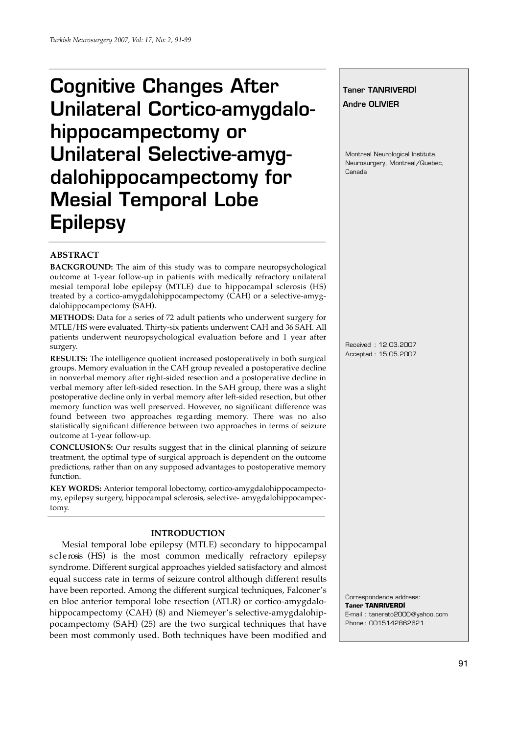# Cognitive Changes After Unilateral Cortico-amygdalohippocampectomy or Unilateral Selective-amygdalohippocampectomy for Mesial Temporal Lobe **Epilepsy**

# **Taner TANRIVERDİ**

Andre OLIVIER

Montreal Neurological Institute, Neurosurgery, Montreal/Quebec, Canada

# **ABSTRACT**

**BACKGROUND:** The aim of this study was to compare neuropsychological outcome at 1-year follow-up in patients with medically refractory unilateral mesial temporal lobe epilepsy (MTLE) due to hippocampal sclerosis (HS) treated by a cortico-amygdalohippocampectomy (CAH) or a selective-amygdalohippocampectomy (SAH).

**METHODS:** Data for a series of 72 adult patients who underwent surgery for MTLE/HS were evaluated. Thirty-six patients underwent CAH and 36 SAH. All patients underwent neuropsychological evaluation before and 1 year after surgery.

**RESULTS:** The intelligence quotient increased postoperatively in both surgical groups. Memory evaluation in the CAH group revealed a postoperative decline in nonverbal memory after right-sided resection and a postoperative decline in verbal memory after left-sided resection. In the SAH group, there was a slight postoperative decline only in verbal memory after left-sided resection, but other memory function was well preserved. However, no significant difference was found between two approaches regarding memory. There was no also statistically significant difference between two approaches in terms of seizure outcome at 1-year follow-up.

**CONCLUSIONS:** Our results suggest that in the clinical planning of seizure treatment, the optimal type of surgical approach is dependent on the outcome predictions, rather than on any supposed advantages to postoperative memory function.

**KEY WORDS:** Anterior temporal lobectomy, cortico-amygdalohippocampectomy, epilepsy surgery, hippocampal sclerosis, selective- amygdalohippocampectomy.

# **INTRODUCTION**

Mesial temporal lobe epilepsy (MTLE) secondary to hippocampal s clerosis (HS) is the most common medically refractory epilepsy syndrome. Different surgical approaches yielded satisfactory and almost equal success rate in terms of seizure control although different results have been reported. Among the different surgical techniques, Falconer's en bloc anterior temporal lobe resection (ATLR) or cortico-amygdalohippocampectomy (CAH) (8) and Niemeyer's selective-amygdalohippocampectomy (SAH) (25) are the two surgical techniques that have been most commonly used. Both techniques have been modified and Received : 12.03.2007 Accepted : 15.05.2007

Correspondence address: **Taner TANRIVERD‹** E-mail : tanerato2000@yahoo.com Phone : 0015142862621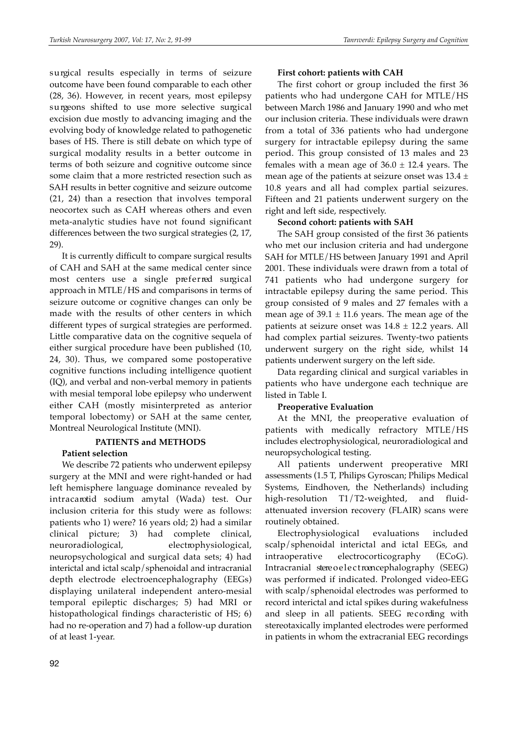surgical results especially in terms of seizure outcome have been found comparable to each other (28, 36). However, in recent years, most epilepsy surgeons shifted to use more selective surgical excision due mostly to advancing imaging and the evolving body of knowledge related to pathogenetic bases of HS. There is still debate on which type of surgical modality results in a better outcome in terms of both seizure and cognitive outcome since some claim that a more restricted resection such as SAH results in better cognitive and seizure outcome (21, 24) than a resection that involves temporal neocortex such as CAH whereas others and even meta-analytic studies have not found significant differences between the two surgical strategies (2, 17, 29).

It is currently difficult to compare surgical results of CAH and SAH at the same medical center since most centers use a single preferred surgical approach in MTLE/HS and comparisons in terms of seizure outcome or cognitive changes can only be made with the results of other centers in which different types of surgical strategies are performed. Little comparative data on the cognitive sequela of either surgical procedure have been published (10, 24, 30). Thus, we compared some postoperative cognitive functions including intelligence quotient (IQ), and verbal and non-verbal memory in patients with mesial temporal lobe epilepsy who underwent either CAH (mostly misinterpreted as anterior temporal lobectomy) or SAH at the same center, Montreal Neurological Institute (MNI).

### **PATIENTS and METHODS Patient selection**

We describe 72 patients who underwent epilepsy surgery at the MNI and were right-handed or had left hemisphere language dominance revealed by intracarotid sodium amytal (Wada) test. Our inclusion criteria for this study were as follows: patients who 1) were? 16 years old; 2) had a similar clinical picture; 3) had complete clinical, neuroradiological, electrophysiological, neuropsychological and surgical data sets; 4) had interictal and ictal scalp/sphenoidal and intracranial depth electrode electroencephalography (EEGs) displaying unilateral independent antero-mesial temporal epileptic discharges; 5) had MRI or histopathological findings characteristic of HS; 6) had no re-operation and 7) had a follow-up duration of at least 1-year.

### **First cohort: patients with CAH**

The first cohort or group included the first 36 patients who had undergone CAH for MTLE/HS between March 1986 and January 1990 and who met our inclusion criteria. These individuals were drawn from a total of 336 patients who had undergone surgery for intractable epilepsy during the same period. This group consisted of 13 males and 23 females with a mean age of  $36.0 \pm 12.4$  years. The mean age of the patients at seizure onset was  $13.4 \pm$ 10.8 years and all had complex partial seizures. Fifteen and 21 patients underwent surgery on the right and left side, respectively.

### **Second cohort: patients with SAH**

The SAH group consisted of the first 36 patients who met our inclusion criteria and had undergone SAH for MTLE/HS between January 1991 and April 2001. These individuals were drawn from a total of 741 patients who had undergone surgery for intractable epilepsy during the same period. This group consisted of 9 males and 27 females with a mean age of  $39.1 \pm 11.6$  years. The mean age of the patients at seizure onset was  $14.8 \pm 12.2$  years. All had complex partial seizures. Twenty-two patients underwent surgery on the right side, whilst 14 patients underwent surgery on the left side.

Data regarding clinical and surgical variables in patients who have undergone each technique are listed in Table I.

# **Preoperative Evaluation**

At the MNI, the preoperative evaluation of patients with medically refractory MTLE/HS includes electrophysiological, neuroradiological and neuropsychological testing.

All patients underwent preoperative MRI assessments (1.5 T, Philips Gyroscan; Philips Medical Systems, Eindhoven, the Netherlands) including high-resolution  $T1/T2$ -weighted, and fluidattenuated inversion recovery (FLAIR) scans were routinely obtained.

Electrophysiological evaluations included scalp/sphenoidal interictal and ictal EEGs, and intraoperative electrocorticography (ECoG). Intracranial stere o e lectroence phalography (SEEG) was performed if indicated. Prolonged video-EEG with scalp/sphenoidal electrodes was performed to record interictal and ictal spikes during wakefulness and sleep in all patients. SEEG recording with stereotaxically implanted electrodes were performed in patients in whom the extracranial EEG recordings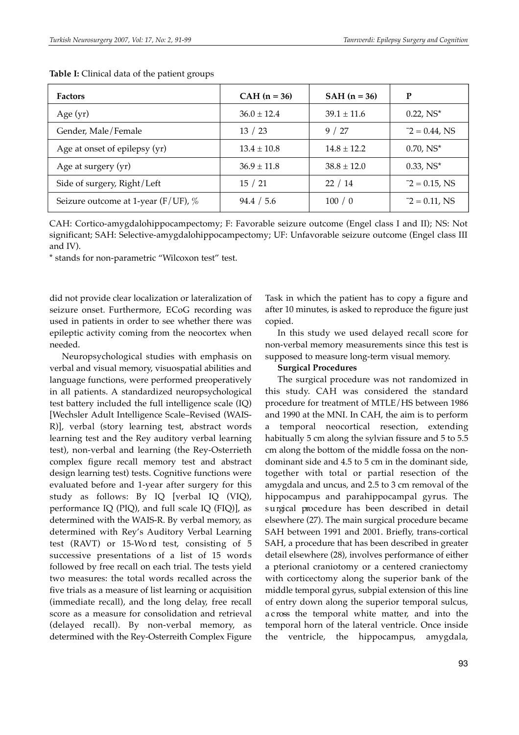| <b>Factors</b>                         | $CAH (n = 36)$  | <b>SAH</b> $(n = 36)$ | P                |
|----------------------------------------|-----------------|-----------------------|------------------|
| Age $(yr)$                             | $36.0 \pm 12.4$ | $39.1 \pm 11.6$       | $0.22, NS^*$     |
| Gender, Male/Female                    | 13 / 23         | 9/27                  | $-2 = 0.44$ , NS |
| Age at onset of epilepsy (yr)          | $13.4 \pm 10.8$ | $14.8 \pm 12.2$       | $0.70, NS^*$     |
| Age at surgery (yr)                    | $36.9 \pm 11.8$ | $38.8 \pm 12.0$       | $0.33, NS^*$     |
| Side of surgery, Right/Left            | 15/21           | 22/14                 | $-2 = 0.15$ , NS |
| Seizure outcome at 1-year (F/UF), $\%$ | 94.4 / 5.6      | 100/0                 | $-2 = 0.11$ , NS |

**Table I:** Clinical data of the patient groups

CAH: Cortico-amygdalohippocampectomy; F: Favorable seizure outcome (Engel class I and II); NS: Not significant; SAH: Selective-amygdalohippocampectomy; UF: Unfavorable seizure outcome (Engel class III and IV).

\* stands for non-parametric "Wilcoxon test" test.

did not provide clear localization or lateralization of seizure onset. Furthermore, ECoG recording was used in patients in order to see whether there was epileptic activity coming from the neocortex when needed.

Neuropsychological studies with emphasis on verbal and visual memory, visuospatial abilities and language functions, were performed preoperatively in all patients. A standardized neuropsychological test battery included the full intelligence scale (IQ) [Wechsler Adult Intelligence Scale–Revised (WAIS-R)], verbal (story learning test, abstract words learning test and the Rey auditory verbal learning test), non-verbal and learning (the Rey-Osterrieth complex figure recall memory test and abstract design learning test) tests. Cognitive functions were evaluated before and 1-year after surgery for this study as follows: By IQ [verbal IQ (VIQ), performance IQ (PIQ), and full scale IQ (FIQ)], as determined with the WAIS-R. By verbal memory, as determined with Rey's Auditory Verbal Learning test (RAVT) or 15-Wo rd test, consisting of 5 successive presentations of a list of 15 words followed by free recall on each trial. The tests yield two measures: the total words recalled across the five trials as a measure of list learning or acquisition (immediate recall), and the long delay, free recall score as a measure for consolidation and retrieval (delayed recall). By non-verbal memory, as determined with the Rey-Osterreith Complex Figure Task in which the patient has to copy a figure and after 10 minutes, is asked to reproduce the figure just copied.

In this study we used delayed recall score for non-verbal memory measurements since this test is supposed to measure long-term visual memory.

# **Surgical Procedures**

The surgical procedure was not randomized in this study. CAH was considered the standard procedure for treatment of MTLE/HS between 1986 and 1990 at the MNI. In CAH, the aim is to perform a temporal neocortical resection, extending habitually 5 cm along the sylvian fissure and 5 to 5.5 cm along the bottom of the middle fossa on the nondominant side and 4.5 to 5 cm in the dominant side, together with total or partial resection of the amygdala and uncus, and 2.5 to 3 cm removal of the hippocampus and parahippocampal gyrus. The surgical procedure has been described in detail elsewhere (27). The main surgical procedure became SAH between 1991 and 2001. Briefly, trans-cortical SAH, a procedure that has been described in greater detail elsewhere (28), involves performance of either a pterional craniotomy or a centered craniectomy with corticectomy along the superior bank of the middle temporal gyrus, subpial extension of this line of entry down along the superior temporal sulcus, a c ross the temporal white matter, and into the temporal horn of the lateral ventricle. Once inside the ventricle, the hippocampus, amygdala,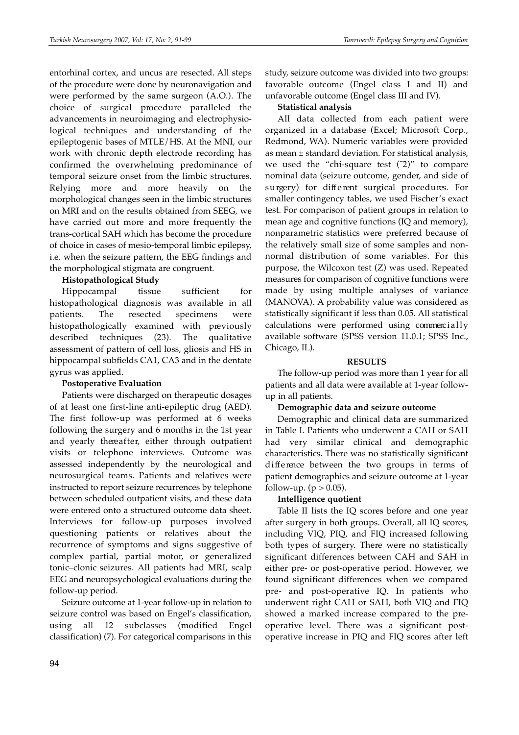entorhinal cortex, and uncus are resected. All steps of the procedure were done by neuronavigation and were performed by the same surgeon (A.O.). The choice of surgical procedure paralleled the advancements in neuroimaging and electrophysiological techniques and understanding of the epileptogenic bases of MTLE/HS. At the MNI, our work with chronic depth electrode recording has confirmed the overwhelming predominance of temporal seizure onset from the limbic structures. Relying more and more heavily on the morphological changes seen in the limbic structures on MRI and on the results obtained from SEEG, we have carried out more and more frequently the trans-cortical SAH which has become the procedure of choice in cases of mesio-temporal limbic epilepsy, i.e. when the seizure pattern, the EEG findings and the morphological stigmata are congruent.

# **Histopathological Study**

Hippocampal tissue sufficient for histopathological diagnosis was available in all patients. The resected specimens were histopathologically examined with previously described techniques (23). The qualitative assessment of pattern of cell loss, gliosis and HS in hippocampal subfields CA1, CA3 and in the dentate gyrus was applied.

# **Postoperative Evaluation**

Patients were discharged on therapeutic dosages of at least one first-line anti-epileptic drug (AED). The first follow-up was performed at 6 weeks following the surgery and 6 months in the 1st year and yearly thereafter, either through outpatient visits or telephone interviews. Outcome was assessed independently by the neurological and neurosurgical teams. Patients and relatives were instructed to report seizure recurrences by telephone between scheduled outpatient visits, and these data were entered onto a structured outcome data sheet. Interviews for follow-up purposes involved questioning patients or relatives about the recurrence of symptoms and signs suggestive of complex partial, partial motor, or generalized tonic–clonic seizures. All patients had MRI, scalp EEG and neuropsychological evaluations during the follow-up period.

Seizure outcome at 1-year follow-up in relation to seizure control was based on Engel's classification, using all 12 subclasses (modified Engel classification) (7). For categorical comparisons in this

study, seizure outcome was divided into two groups: favorable outcome (Engel class I and II) and unfavorable outcome (Engel class III and IV).

# **Statistical analysis**

All data collected from each patient were organized in a database (Excel; Microsoft Corp., Redmond, WA). Numeric variables were provided as mean ± standard deviation. For statistical analysis, we used the "chi-square test  $(2)$ " to compare nominal data (seizure outcome, gender, and side of surgery) for different surgical procedures. For smaller contingency tables, we used Fischer's exact test. For comparison of patient groups in relation to mean age and cognitive functions (IQ and memory), nonparametric statistics were preferred because of the relatively small size of some samples and nonnormal distribution of some variables. For this purpose, the Wilcoxon test (Z) was used. Repeated measures for comparison of cognitive functions were made by using multiple analyses of variance (MANOVA). A probability value was considered as statistically significant if less than 0.05. All statistical calculations were performed using commercially available software (SPSS version 11.0.1; SPSS Inc., Chicago, IL).

# **RESULTS**

The follow-up period was more than 1 year for all patients and all data were available at 1-year followup in all patients.

# **Demographic data and seizure outcome**

Demographic and clinical data are summarized in Table I. Patients who underwent a CAH or SAH had very similar clinical and demographic characteristics. There was no statistically significant difference between the two groups in terms of patient demographics and seizure outcome at 1-year follow-up. ( $p > 0.05$ ).

# **Intelligence quotient**

Table II lists the IQ scores before and one year after surgery in both groups. Overall, all IQ scores, including VIQ, PIQ, and FIQ increased following both types of surgery. There were no statistically significant differences between CAH and SAH in either pre- or post-operative period. However, we found significant differences when we compared pre- and post-operative IQ. In patients who underwent right CAH or SAH, both VIQ and FIQ showed a marked increase compared to the preoperative level. There was a significant postoperative increase in PIQ and FIQ scores after left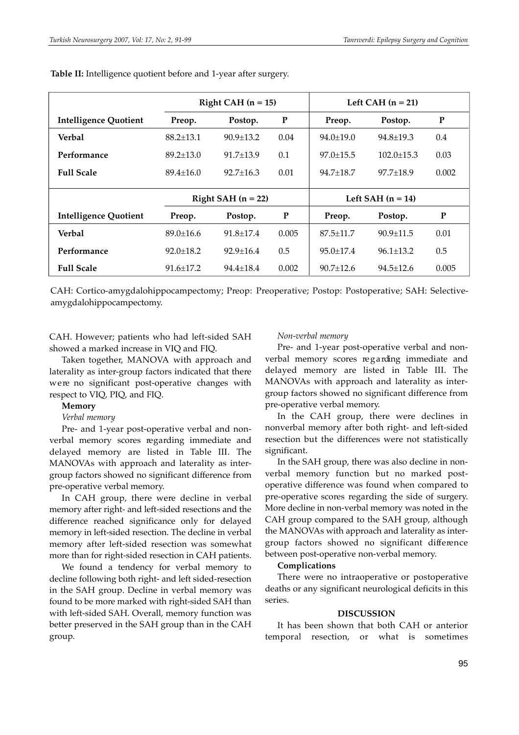|                              | Right CAH $(n = 15)$ |                      |       | Left CAH $(n = 21)$ |                     |       |  |
|------------------------------|----------------------|----------------------|-------|---------------------|---------------------|-------|--|
| <b>Intelligence Quotient</b> | Preop.               | Postop.              | P     | Preop.              | Postop.             | P     |  |
| Verbal                       | $88.2 \pm 13.1$      | $90.9 \pm 13.2$      | 0.04  | $94.0 \pm 19.0$     | $94.8 \pm 19.3$     | 0.4   |  |
| Performance                  | $89.2 \pm 13.0$      | $91.7 \pm 13.9$      | 0.1   | $97.0 \pm 15.5$     | $102.0 \pm 15.3$    | 0.03  |  |
| <b>Full Scale</b>            | $89.4 \pm 16.0$      | $92.7 + 16.3$        | 0.01  | $94.7 + 18.7$       | $97.7 + 18.9$       | 0.002 |  |
|                              |                      |                      |       |                     |                     |       |  |
|                              |                      | Right SAH $(n = 22)$ |       |                     | Left SAH $(n = 14)$ |       |  |
| <b>Intelligence Quotient</b> | Preop.               | Postop.              | P     | Preop.              | Postop.             | P     |  |
| Verbal                       | $89.0 \pm 16.6$      | $91.8 + 17.4$        | 0.005 | $87.5 + 11.7$       | $90.9 + 11.5$       | 0.01  |  |
| Performance                  | $92.0 + 18.2$        | $92.9 + 16.4$        | 0.5   | $95.0 + 17.4$       | $96.1 + 13.2$       | 0.5   |  |
| <b>Full Scale</b>            | $91.6 \pm 17.2$      | $94.4 \pm 18.4$      | 0.002 | $90.7 \pm 12.6$     | $94.5 \pm 12.6$     | 0.005 |  |

**Table II:** Intelligence quotient before and 1-year after surgery.

CAH: Cortico-amygdalohippocampectomy; Preop: Preoperative; Postop: Postoperative; SAH: Selectiveamygdalohippocampectomy.

CAH. However; patients who had left-sided SAH showed a marked increase in VIQ and FIQ.

Taken together, MANOVA with approach and laterality as inter-group factors indicated that there were no significant post-operative changes with respect to VIQ, PIQ, and FIQ.

### **Memory**

# *Verbal memory*

Pre- and 1-year post-operative verbal and nonverbal memory scores regarding immediate and delayed memory are listed in Table III. The MANOVAs with approach and laterality as intergroup factors showed no significant difference from pre-operative verbal memory.

In CAH group, there were decline in verbal memory after right- and left-sided resections and the difference reached significance only for delayed memory in left-sided resection. The decline in verbal memory after left-sided resection was somewhat more than for right-sided resection in CAH patients.

We found a tendency for verbal memory to decline following both right- and left sided-resection in the SAH group. Decline in verbal memory was found to be more marked with right-sided SAH than with left-sided SAH. Overall, memory function was better preserved in the SAH group than in the CAH group.

# *Non-verbal memory*

Pre- and 1-year post-operative verbal and nonverbal memory scores regarding immediate and delayed memory are listed in Table III. The MANOVAs with approach and laterality as intergroup factors showed no significant difference from pre-operative verbal memory.

In the CAH group, there were declines in nonverbal memory after both right- and left-sided resection but the differences were not statistically significant.

In the SAH group, there was also decline in nonverbal memory function but no marked postoperative difference was found when compared to pre-operative scores regarding the side of surgery. More decline in non-verbal memory was noted in the CAH group compared to the SAH group, although the MANOVAs with approach and laterality as intergroup factors showed no significant difference between post-operative non-verbal memory.

#### **Complications**

There were no intraoperative or postoperative deaths or any significant neurological deficits in this series.

# **DISCUSSION**

It has been shown that both CAH or anterior temporal resection, or what is sometimes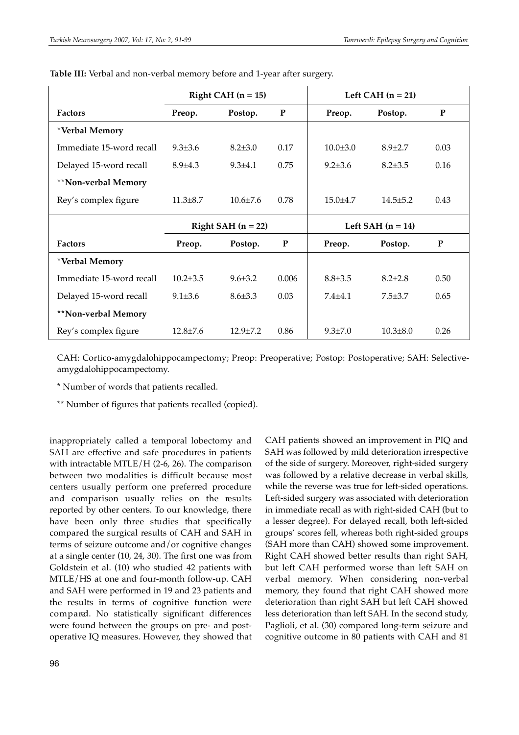|                          | Right CAH $(n = 15)$ |                |             | Left CAH $(n = 21)$ |                |      |  |
|--------------------------|----------------------|----------------|-------------|---------------------|----------------|------|--|
| <b>Factors</b>           | Preop.               | Postop.        | P           | Preop.              | Postop.        | P    |  |
| *Verbal Memory           |                      |                |             |                     |                |      |  |
| Immediate 15-word recall | $9.3 \pm 3.6$        | $8.2{\pm}3.0$  | 0.17        | $10.0 \pm 3.0$      | $8.9 + 2.7$    | 0.03 |  |
| Delayed 15-word recall   | $8.9 \pm 4.3$        | $9.3 \pm 4.1$  | 0.75        | $9.2 + 3.6$         | $8.2 + 3.5$    | 0.16 |  |
| **Non-verbal Memory      |                      |                |             |                     |                |      |  |
| Rey's complex figure     | $11.3 \pm 8.7$       | $10.6 \pm 7.6$ | 0.78        | $15.0 \pm 4.7$      | $14.5 \pm 5.2$ | 0.43 |  |
|                          | Right SAH $(n = 22)$ |                |             | Left SAH $(n = 14)$ |                |      |  |
| <b>Factors</b>           | Preop.               | Postop.        | $\mathbf P$ | Preop.              | Postop.        | P    |  |
| *Verbal Memory           |                      |                |             |                     |                |      |  |
| Immediate 15-word recall | $10.2 + 3.5$         | $9.6 \pm 3.2$  | 0.006       | $8.8 + 3.5$         | $8.2 + 2.8$    | 0.50 |  |
| Delayed 15-word recall   | $9.1 \pm 3.6$        | $8.6 \pm 3.3$  | 0.03        | $7.4 + 4.1$         | $7.5 + 3.7$    | 0.65 |  |
| **Non-verbal Memory      |                      |                |             |                     |                |      |  |
| Rey's complex figure     | $12.8 \pm 7.6$       | $12.9 + 7.2$   | 0.86        | $9.3 \pm 7.0$       | $10.3 \pm 8.0$ | 0.26 |  |

**Table III:** Verbal and non-verbal memory before and 1-year after surgery.

CAH: Cortico-amygdalohippocampectomy; Preop: Preoperative; Postop: Postoperative; SAH: Selectiveamygdalohippocampectomy.

\* Number of words that patients recalled.

\*\* Number of figures that patients recalled (copied).

inappropriately called a temporal lobectomy and SAH are effective and safe procedures in patients with intractable MTLE/H (2-6, 26). The comparison between two modalities is difficult because most centers usually perform one preferred procedure and comparison usually relies on the results reported by other centers. To our knowledge, there have been only three studies that specifically compared the surgical results of CAH and SAH in terms of seizure outcome and/or cognitive changes at a single center (10, 24, 30). The first one was from Goldstein et al. (10) who studied 42 patients with MTLE/HS at one and four-month follow-up. CAH and SAH were performed in 19 and 23 patients and the results in terms of cognitive function were compared. No statistically significant differences were found between the groups on pre- and postoperative IQ measures. However, they showed that CAH patients showed an improvement in PIQ and SAH was followed by mild deterioration irrespective of the side of surgery. Moreover, right-sided surgery was followed by a relative decrease in verbal skills, while the reverse was true for left-sided operations. Left-sided surgery was associated with deterioration in immediate recall as with right-sided CAH (but to a lesser degree). For delayed recall, both left-sided groups' scores fell, whereas both right-sided groups (SAH more than CAH) showed some improvement. Right CAH showed better results than right SAH, but left CAH performed worse than left SAH on verbal memory. When considering non-verbal memory, they found that right CAH showed more deterioration than right SAH but left CAH showed less deterioration than left SAH. In the second study, Paglioli, et al. (30) compared long-term seizure and cognitive outcome in 80 patients with CAH and 81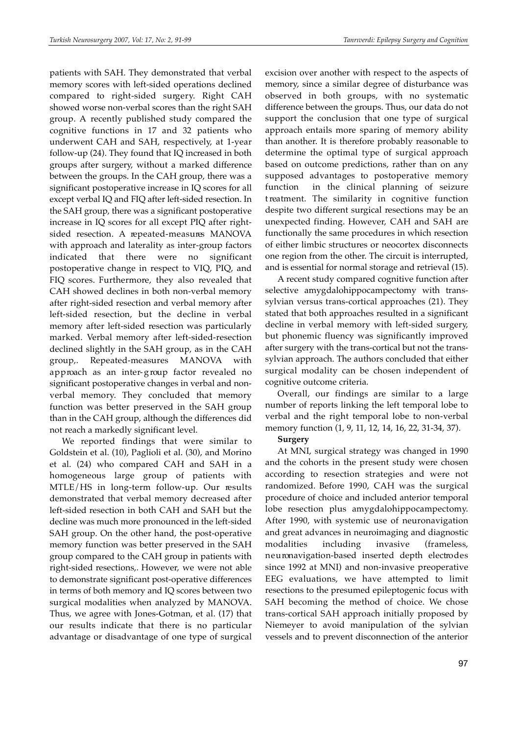patients with SAH. They demonstrated that verbal memory scores with left-sided operations declined compared to right-sided surgery. Right CAH showed worse non-verbal scores than the right SAH group. A recently published study compared the cognitive functions in 17 and 32 patients who underwent CAH and SAH, respectively, at 1-year follow-up (24). They found that IQ increased in both groups after surgery, without a marked difference between the groups. In the CAH group, there was a significant postoperative increase in IQ scores for all except verbal IQ and FIQ after left-sided resection. In the SAH group, there was a significant postoperative increase in IQ scores for all except PIQ after rightsided resection. A repeated-measures MANOVA with approach and laterality as inter-group factors indicated that there were no significant postoperative change in respect to VIQ, PIQ, and FIQ scores. Furthermore, they also revealed that CAH showed declines in both non-verbal memory after right-sided resection and verbal memory after left-sided resection, but the decline in verbal memory after left-sided resection was particularly marked. Verbal memory after left-sided-resection declined slightly in the SAH group, as in the CAH group,. Repeated-measures MANOVA with approach as an inter-group factor revealed no significant postoperative changes in verbal and nonverbal memory. They concluded that memory function was better preserved in the SAH group than in the CAH group, although the differences did not reach a markedly significant level.

We reported findings that were similar to Goldstein et al. (10), Paglioli et al. (30), and Morino et al. (24) who compared CAH and SAH in a homogeneous large group of patients with  $MTLE/HS$  in long-term follow-up. Our results demonstrated that verbal memory decreased after left-sided resection in both CAH and SAH but the decline was much more pronounced in the left-sided SAH group. On the other hand, the post-operative memory function was better preserved in the SAH group compared to the CAH group in patients with right-sided resections,. However, we were not able to demonstrate significant post-operative differences in terms of both memory and IQ scores between two surgical modalities when analyzed by MANOVA. Thus, we agree with Jones-Gotman, et al. (17) that our results indicate that there is no particular advantage or disadvantage of one type of surgical excision over another with respect to the aspects of memory, since a similar degree of disturbance was observed in both groups, with no systematic difference between the groups. Thus, our data do not support the conclusion that one type of surgical approach entails more sparing of memory ability than another. It is therefore probably reasonable to determine the optimal type of surgical approach based on outcome predictions, rather than on any supposed advantages to postoperative memory function in the clinical planning of seizure t reatment. The similarity in cognitive function despite two different surgical resections may be an unexpected finding. However, CAH and SAH are functionally the same procedures in which resection of either limbic structures or neocortex disconnects one region from the other. The circuit is interrupted, and is essential for normal storage and retrieval (15).

A recent study compared cognitive function after selective amygdalohippocampectomy with transsylvian versus trans-cortical approaches (21). They stated that both approaches resulted in a significant decline in verbal memory with left-sided surgery, but phonemic fluency was significantly improved after surgery with the trans-cortical but not the transsylvian approach. The authors concluded that either surgical modality can be chosen independent of cognitive outcome criteria.

Overall, our findings are similar to a large number of reports linking the left temporal lobe to verbal and the right temporal lobe to non-verbal memory function (1, 9, 11, 12, 14, 16, 22, 31-34, 37).

# **Surgery**

At MNI, surgical strategy was changed in 1990 and the cohorts in the present study were chosen according to resection strategies and were not randomized. Before 1990, CAH was the surgical procedure of choice and included anterior temporal lobe resection plus amygdalohippocampectomy. After 1990, with systemic use of neuronavigation and great advances in neuroimaging and diagnostic modalities including invasive (frameless, neu ronavigation-based inserted depth electrodes since 1992 at MNI) and non-invasive preoperative EEG evaluations, we have attempted to limit resections to the presumed epileptogenic focus with SAH becoming the method of choice. We chose trans-cortical SAH approach initially proposed by Niemeyer to avoid manipulation of the sylvian vessels and to prevent disconnection of the anterior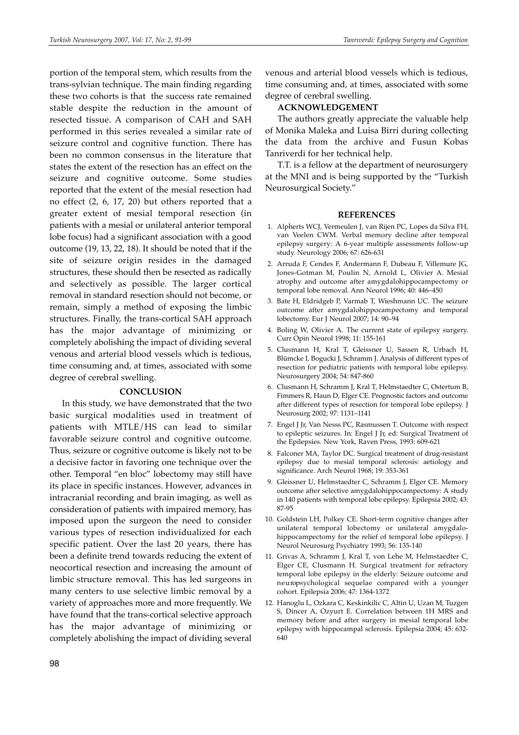portion of the temporal stem, which results from the trans-sylvian technique. The main finding regarding these two cohorts is that the success rate remained stable despite the reduction in the amount of resected tissue. A comparison of CAH and SAH performed in this series revealed a similar rate of seizure control and cognitive function. There has been no common consensus in the literature that states the extent of the resection has an effect on the seizure and cognitive outcome. Some studies reported that the extent of the mesial resection had no effect (2, 6, 17, 20) but others reported that a greater extent of mesial temporal resection (in patients with a mesial or unilateral anterior temporal lobe focus) had a significant association with a good outcome (19, 13, 22, 18). It should be noted that if the site of seizure origin resides in the damaged structures, these should then be resected as radically and selectively as possible. The larger cortical removal in standard resection should not become, or remain, simply a method of exposing the limbic structures. Finally, the trans-cortical SAH approach has the major advantage of minimizing or completely abolishing the impact of dividing several venous and arterial blood vessels which is tedious, time consuming and, at times, associated with some degree of cerebral swelling.

#### **CONCLUSION**

In this study, we have demonstrated that the two basic surgical modalities used in treatment of patients with MTLE/HS can lead to similar favorable seizure control and cognitive outcome. Thus, seizure or cognitive outcome is likely not to be a decisive factor in favoring one technique over the other. Temporal "en bloc" lobectomy may still have its place in specific instances. However, advances in intracranial recording and brain imaging, as well as consideration of patients with impaired memory, has imposed upon the surgeon the need to consider various types of resection individualized for each specific patient. Over the last 20 years, there has been a definite trend towards reducing the extent of neocortical resection and increasing the amount of limbic structure removal. This has led surgeons in many centers to use selective limbic removal by a variety of approaches more and more frequently. We have found that the trans-cortical selective approach has the major advantage of minimizing or completely abolishing the impact of dividing several

venous and arterial blood vessels which is tedious, time consuming and, at times, associated with some degree of cerebral swelling.

#### **ACKNOWLEDGEMENT**

The authors greatly appreciate the valuable help of Monika Maleka and Luisa Birri during collecting the data from the archive and Fusun Kobas Tanriverdi for her technical help.

T.T. is a fellow at the department of neurosurgery at the MNI and is being supported by the "Turkish Neurosurgical Society."

#### **REFERENCES**

- 1. Alpherts WCJ, Vermeulen J, van Rijen PC, Lopes da Silva FH, van Veelen CWM. Verbal memory decline after temporal epilepsy surgery: A 6-year multiple assessments follow-up study. Neurology 2006; 67: 626-631
- 2. Arruda F, Cendes F, Andermann F, Dubeau F, Villemure JG, Jones-Gotman M, Poulin N, Arnold L, Olivier A. Mesial atrophy and outcome after amygdalohippocampectomy or temporal lobe removal. Ann Neurol 1996; 40: 446–450
- 3. Bate H, Eldridgeb P, Varmab T, Wieshmann UC. The seizure outcome after amygdalohippocampectomy and temporal lobectomy. Eur J Neurol 2007; 14: 90–94
- 4. Boling W, Olivier A. The current state of epilepsy surgery. Curr Opin Neurol 1998; 11: 155-161
- 5. Clusmann H, Kral T, Gleissner U, Sassen R, Urbach H, Blümcke I, Bogucki J, Schramm J. Analysis of different types of resection for pediatric patients with temporal lobe epilepsy. Neurosurgery 2004; 54: 847-860
- 6. Clusmann H, Schramm J, Kral T, Helmstaedter C, Ostertum B, Fimmers R, Haun D, Elger CE. Prognostic factors and outcome after different types of resection for temporal lobe epilepsy. J Neurosurg 2002; 97: 1131–1141
- 7. Engel J Jr, Van Nesss PC, Rasmussen T. Outcome with respect to epileptic seizures. In: Engel J Jr, ed: Surgical Treatment of the Epilepsies. New York, Raven Press, 1993: 609-621
- 8. Falconer MA, Taylor DC. Surgical treatment of drug-resistant epilepsy due to mesial temporal sclerosis: aetiology and significance. Arch Neurol 1968; 19: 353-361
- 9. Gleissner U, Helmstaedter C, Schramm J, Elger CE. Memory outcome after selective amygdalohippocampectomy: A study in 140 patients with temporal lobe epilepsy. Epilepsia 2002; 43: 87-95
- 10. Goldstein LH, Polkey CE. Short-term cognitive changes after unilateral temporal lobectomy or unilateral amygdalohippocampectomy for the relief of temporal lobe epilepsy. J Neurol Neurosurg Psychiatry 1993; 56: 135-140
- 11. Grivas A, Schramm J, Kral T, von Lehe M, Helmstaedter C, Elger CE, Clusmann H. Surgical treatment for refractory temporal lobe epilepsy in the elderly: Seizure outcome and neu ropsychological sequelae compared with a younger cohort. Epilepsia 2006; 47: 1364-1372
- 12. Hanoglu L, Ozkara C, Keskinkilic C, Altin U, Uzan M, Tuzgen S, Dincer A, Ozyurt E. Correlation between 1H MRS and memory before and after surgery in mesial temporal lobe epilepsy with hippocampal sclerosis. Epilepsia 2004; 45: 632- 640